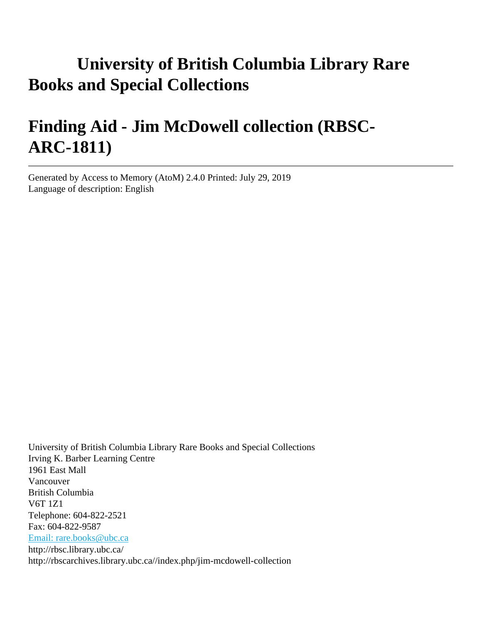# **University of British Columbia Library Rare Books and Special Collections**

# **Finding Aid - Jim McDowell collection (RBSC-ARC-1811)**

Generated by Access to Memory (AtoM) 2.4.0 Printed: July 29, 2019 Language of description: English

University of British Columbia Library Rare Books and Special Collections Irving K. Barber Learning Centre 1961 East Mall Vancouver British Columbia V6T 1Z1 Telephone: 604-822-2521 Fax: 604-822-9587 [Email: rare.books@ubc.ca](mailto:Email: rare.books@ubc.ca) http://rbsc.library.ubc.ca/ http://rbscarchives.library.ubc.ca//index.php/jim-mcdowell-collection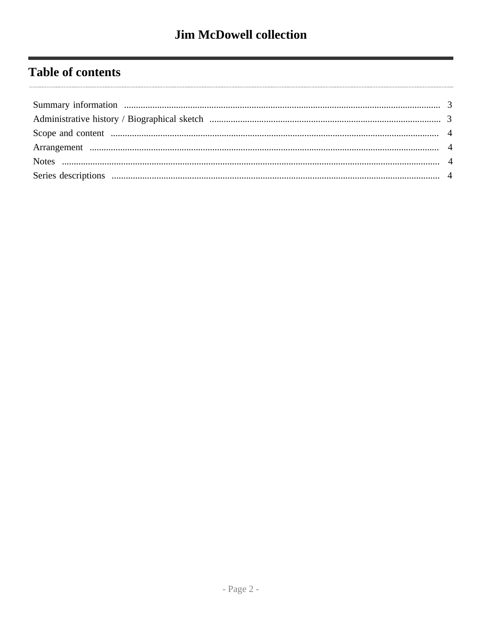# **Table of contents**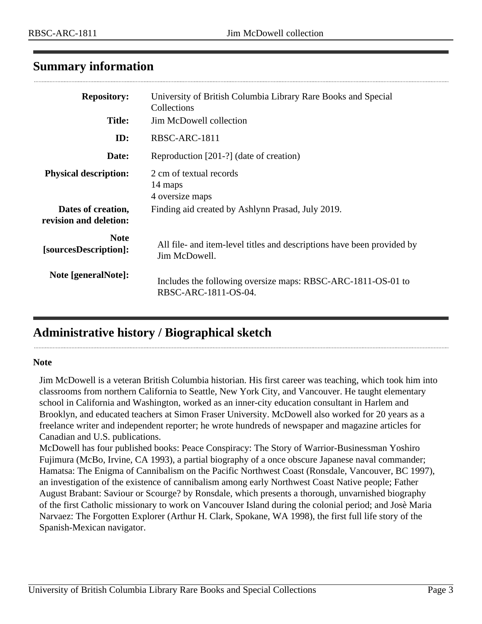# <span id="page-2-0"></span>**Summary information**

| <b>Repository:</b><br><b>Title:</b>          | University of British Columbia Library Rare Books and Special<br>Collections<br>Jim McDowell collection |
|----------------------------------------------|---------------------------------------------------------------------------------------------------------|
| ID:                                          | RBSC-ARC-1811                                                                                           |
| Date:                                        | Reproduction [201-?] (date of creation)                                                                 |
| <b>Physical description:</b>                 | 2 cm of textual records<br>14 maps<br>4 oversize maps                                                   |
| Dates of creation,<br>revision and deletion: | Finding aid created by Ashlynn Prasad, July 2019.                                                       |
| <b>Note</b><br>[sourcesDescription]:         | All file- and item-level titles and descriptions have been provided by<br>Jim McDowell.                 |
| Note [generalNote]:                          | Includes the following oversize maps: RBSC-ARC-1811-OS-01 to<br>RBSC-ARC-1811-OS-04.                    |

# <span id="page-2-1"></span>**Administrative history / Biographical sketch**

#### **Note**

Jim McDowell is a veteran British Columbia historian. His first career was teaching, which took him into classrooms from northern California to Seattle, New York City, and Vancouver. He taught elementary school in California and Washington, worked as an inner-city education consultant in Harlem and Brooklyn, and educated teachers at Simon Fraser University. McDowell also worked for 20 years as a freelance writer and independent reporter; he wrote hundreds of newspaper and magazine articles for Canadian and U.S. publications.

McDowell has four published books: Peace Conspiracy: The Story of Warrior-Businessman Yoshiro Fujimura (McBo, Irvine, CA 1993), a partial biography of a once obscure Japanese naval commander; Hamatsa: The Enigma of Cannibalism on the Pacific Northwest Coast (Ronsdale, Vancouver, BC 1997), an investigation of the existence of cannibalism among early Northwest Coast Native people; Father August Brabant: Saviour or Scourge? by Ronsdale, which presents a thorough, unvarnished biography of the first Catholic missionary to work on Vancouver Island during the colonial period; and Josè Maria Narvaez: The Forgotten Explorer (Arthur H. Clark, Spokane, WA 1998), the first full life story of the Spanish-Mexican navigator.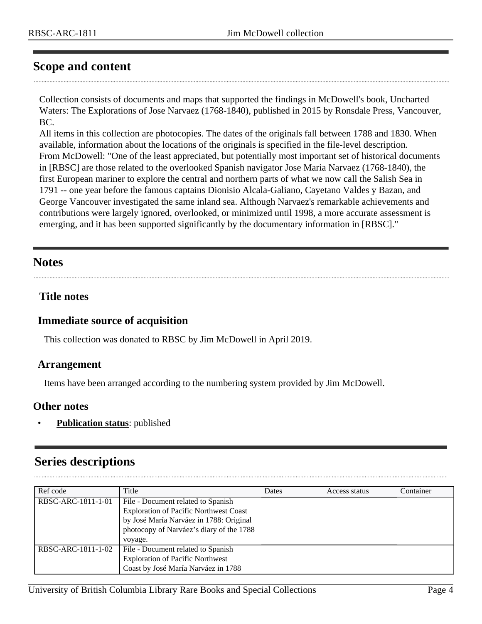# <span id="page-3-0"></span>**Scope and content**

Collection consists of documents and maps that supported the findings in McDowell's book, Uncharted Waters: The Explorations of Jose Narvaez (1768-1840), published in 2015 by Ronsdale Press, Vancouver, BC.

All items in this collection are photocopies. The dates of the originals fall between 1788 and 1830. When available, information about the locations of the originals is specified in the file-level description. From McDowell: "One of the least appreciated, but potentially most important set of historical documents in [RBSC] are those related to the overlooked Spanish navigator Jose Maria Narvaez (1768-1840), the first European mariner to explore the central and northern parts of what we now call the Salish Sea in 1791 -- one year before the famous captains Dionisio Alcala-Galiano, Cayetano Valdes y Bazan, and George Vancouver investigated the same inland sea. Although Narvaez's remarkable achievements and contributions were largely ignored, overlooked, or minimized until 1998, a more accurate assessment is emerging, and it has been supported significantly by the documentary information in [RBSC]."

### <span id="page-3-2"></span>**Notes**

### **Title notes**

#### **Immediate source of acquisition**

This collection was donated to RBSC by Jim McDowell in April 2019.

#### <span id="page-3-1"></span>**Arrangement**

Items have been arranged according to the numbering system provided by Jim McDowell.

#### **Other notes**

• **Publication status**: published

## <span id="page-3-3"></span>**Series descriptions**

| Ref code           | Title                                                                                                                                                                                 | Dates | Access status | Container |
|--------------------|---------------------------------------------------------------------------------------------------------------------------------------------------------------------------------------|-------|---------------|-----------|
| RBSC-ARC-1811-1-01 | File - Document related to Spanish<br><b>Exploration of Pacific Northwest Coast</b><br>by José María Narváez in 1788: Original<br>photocopy of Narváez's diary of the 1788<br>voyage. |       |               |           |
| RBSC-ARC-1811-1-02 | File - Document related to Spanish<br><b>Exploration of Pacific Northwest</b><br>Coast by José María Narváez in 1788                                                                  |       |               |           |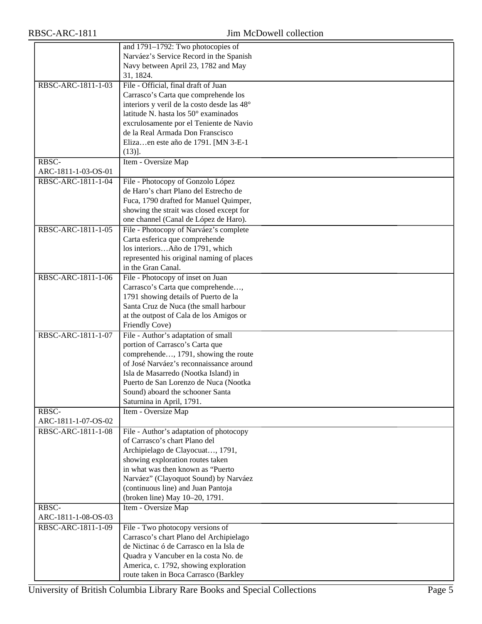|                     | and 1791-1792: Two photocopies of           |
|---------------------|---------------------------------------------|
|                     | Narváez's Service Record in the Spanish     |
|                     | Navy between April 23, 1782 and May         |
|                     | 31, 1824.                                   |
| RBSC-ARC-1811-1-03  | File - Official, final draft of Juan        |
|                     | Carrasco's Carta que comprehende los        |
|                     | interiors y veril de la costo desde las 48° |
|                     |                                             |
|                     | latitude N. hasta los 50° examinados        |
|                     | excrulosamente por el Teniente de Navio     |
|                     | de la Real Armada Don Franscisco            |
|                     | Elizaen este año de 1791. [MN 3-E-1         |
|                     | $(13)$ ].                                   |
| RBSC-               | Item - Oversize Map                         |
| ARC-1811-1-03-OS-01 |                                             |
| RBSC-ARC-1811-1-04  | File - Photocopy of Gonzolo López           |
|                     | de Haro's chart Plano del Estrecho de       |
|                     | Fuca, 1790 drafted for Manuel Quimper,      |
|                     | showing the strait was closed except for    |
|                     | one channel (Canal de López de Haro).       |
| RBSC-ARC-1811-1-05  | File - Photocopy of Narváez's complete      |
|                     | Carta esferica que comprehende              |
|                     | los interiorsAño de 1791, which             |
|                     |                                             |
|                     | represented his original naming of places   |
|                     | in the Gran Canal.                          |
| RBSC-ARC-1811-1-06  | File - Photocopy of inset on Juan           |
|                     | Carrasco's Carta que comprehende,           |
|                     | 1791 showing details of Puerto de la        |
|                     | Santa Cruz de Nuca (the small harbour       |
|                     | at the outpost of Cala de los Amigos or     |
|                     | Friendly Cove)                              |
| RBSC-ARC-1811-1-07  | File - Author's adaptation of small         |
|                     | portion of Carrasco's Carta que             |
|                     | comprehende, 1791, showing the route        |
|                     | of José Narváez's reconnaissance around     |
|                     | Isla de Masarredo (Nootka Island) in        |
|                     | Puerto de San Lorenzo de Nuca (Nootka       |
|                     | Sound) aboard the schooner Santa            |
|                     | Saturnina in April, 1791.                   |
| RBSC-               | Item - Oversize Map                         |
| ARC-1811-1-07-OS-02 |                                             |
| RBSC-ARC-1811-1-08  | File - Author's adaptation of photocopy     |
|                     | of Carrasco's chart Plano del               |
|                     |                                             |
|                     | Archipielago de Clayocuat, 1791,            |
|                     | showing exploration routes taken            |
|                     | in what was then known as "Puerto           |
|                     | Narváez" (Clayoquot Sound) by Narváez       |
|                     | (continuous line) and Juan Pantoja          |
|                     | (broken line) May 10-20, 1791.              |
| RBSC-               | Item - Oversize Map                         |
| ARC-1811-1-08-OS-03 |                                             |
| RBSC-ARC-1811-1-09  | File - Two photocopy versions of            |
|                     | Carrasco's chart Plano del Archipielago     |
|                     | de Nictinac ó de Carrasco en la Isla de     |
|                     | Quadra y Vancuber en la costa No. de        |
|                     | America, c. 1792, showing exploration       |
|                     | route taken in Boca Carrasco (Barkley       |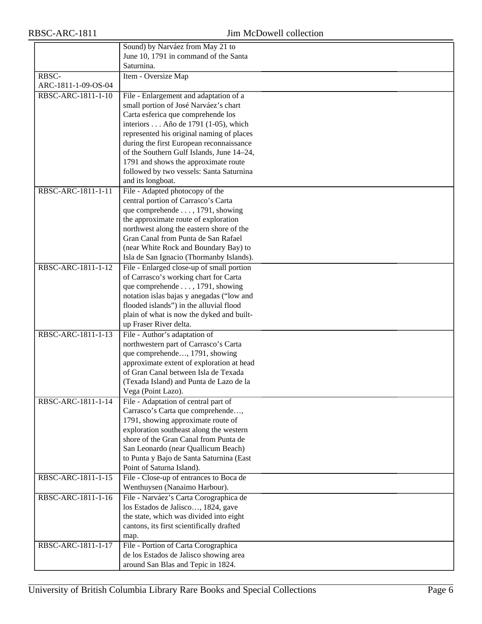|                     | Sound) by Narváez from May 21 to                                      |
|---------------------|-----------------------------------------------------------------------|
|                     | June 10, 1791 in command of the Santa                                 |
|                     | Saturnina.                                                            |
| RBSC-               | Item - Oversize Map                                                   |
| ARC-1811-1-09-OS-04 |                                                                       |
| RBSC-ARC-1811-1-10  | File - Enlargement and adaptation of a                                |
|                     | small portion of José Narváez's chart                                 |
|                     | Carta esferica que comprehende los                                    |
|                     | interiors Año de 1791 (1-05), which                                   |
|                     | represented his original naming of places                             |
|                     | during the first European reconnaissance                              |
|                     | of the Southern Gulf Islands, June 14-24,                             |
|                     | 1791 and shows the approximate route                                  |
|                     | followed by two vessels: Santa Saturnina                              |
|                     | and its longboat.                                                     |
| RBSC-ARC-1811-1-11  | File - Adapted photocopy of the                                       |
|                     | central portion of Carrasco's Carta                                   |
|                     | que comprehende , 1791, showing                                       |
|                     | the approximate route of exploration                                  |
|                     | northwest along the eastern shore of the                              |
|                     | Gran Canal from Punta de San Rafael                                   |
|                     | (near White Rock and Boundary Bay) to                                 |
|                     | Isla de San Ignacio (Thormanby Islands).                              |
| RBSC-ARC-1811-1-12  | File - Enlarged close-up of small portion                             |
|                     | of Carrasco's working chart for Carta                                 |
|                     | que comprehende , 1791, showing                                       |
|                     | notation islas bajas y anegadas ("low and                             |
|                     | flooded islands") in the alluvial flood                               |
|                     | plain of what is now the dyked and built-                             |
|                     | up Fraser River delta.                                                |
| RBSC-ARC-1811-1-13  | File - Author's adaptation of                                         |
|                     | northwestern part of Carrasco's Carta                                 |
|                     | que comprehende, 1791, showing                                        |
|                     | approximate extent of exploration at head                             |
|                     | of Gran Canal between Isla de Texada                                  |
|                     | (Texada Island) and Punta de Lazo de la                               |
|                     | Vega (Point Lazo).                                                    |
| RBSC-ARC-1811-1-14  | File - Adaptation of central part of                                  |
|                     | Carrasco's Carta que comprehende,                                     |
|                     | 1791, showing approximate route of                                    |
|                     | exploration southeast along the western                               |
|                     | shore of the Gran Canal from Punta de                                 |
|                     | San Leonardo (near Quallicum Beach)                                   |
|                     | to Punta y Bajo de Santa Saturnina (East<br>Point of Saturna Island). |
| RBSC-ARC-1811-1-15  | File - Close-up of entrances to Boca de                               |
|                     | Wenthuysen (Nanaimo Harbour).                                         |
| RBSC-ARC-1811-1-16  | File - Narváez's Carta Corographica de                                |
|                     | los Estados de Jalisco, 1824, gave                                    |
|                     | the state, which was divided into eight                               |
|                     | cantons, its first scientifically drafted                             |
|                     |                                                                       |
| RBSC-ARC-1811-1-17  | map.<br>File - Portion of Carta Corographica                          |
|                     | de los Estados de Jalisco showing area                                |
|                     | around San Blas and Tepic in 1824.                                    |
|                     |                                                                       |